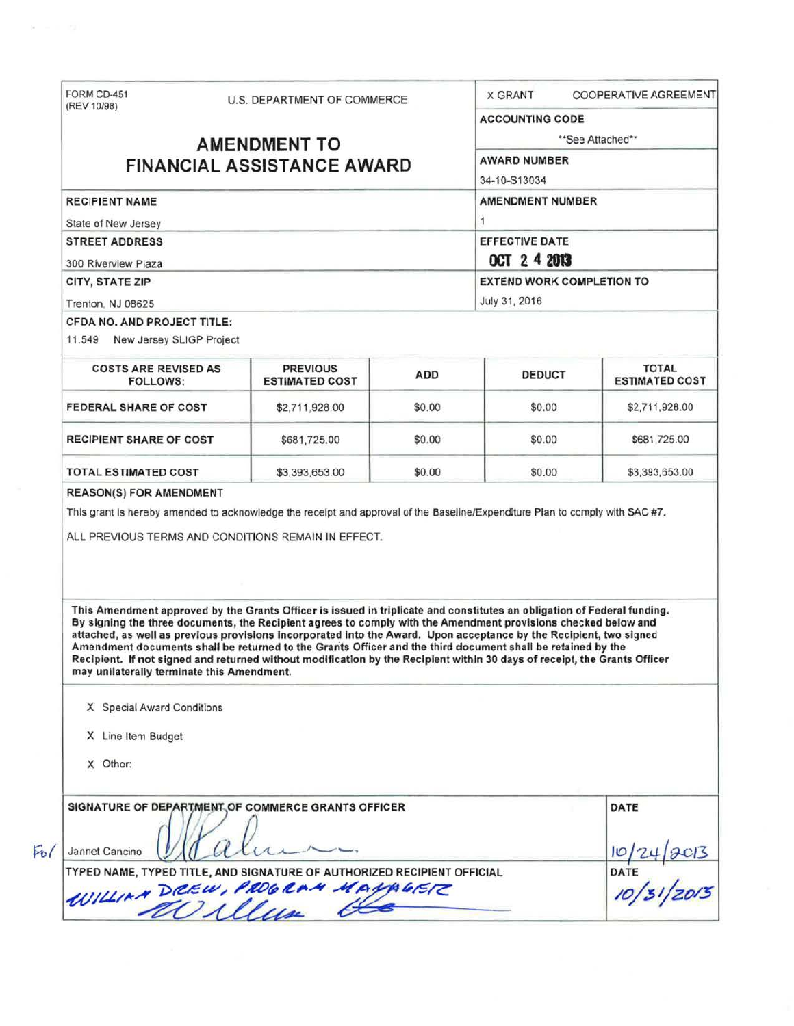| (REV 10/98)                                                                                                                                                                                                                                                                                                                                                                                                                                                                                                                                                                                                                                                                                                                                                                                                                                                  | U.S. DEPARTMENT OF COMMERCE |        | <b>X GRANT</b>                                                                 | <b>COOPERATIVE AGREEMENT</b> |  |                                                                |                                          |            |               |                                |
|--------------------------------------------------------------------------------------------------------------------------------------------------------------------------------------------------------------------------------------------------------------------------------------------------------------------------------------------------------------------------------------------------------------------------------------------------------------------------------------------------------------------------------------------------------------------------------------------------------------------------------------------------------------------------------------------------------------------------------------------------------------------------------------------------------------------------------------------------------------|-----------------------------|--------|--------------------------------------------------------------------------------|------------------------------|--|----------------------------------------------------------------|------------------------------------------|------------|---------------|--------------------------------|
|                                                                                                                                                                                                                                                                                                                                                                                                                                                                                                                                                                                                                                                                                                                                                                                                                                                              |                             |        | <b>ACCOUNTING CODE</b>                                                         |                              |  |                                                                |                                          |            |               |                                |
|                                                                                                                                                                                                                                                                                                                                                                                                                                                                                                                                                                                                                                                                                                                                                                                                                                                              | <b>AMENDMENT TO</b>         |        |                                                                                | **See Attached**             |  |                                                                |                                          |            |               |                                |
|                                                                                                                                                                                                                                                                                                                                                                                                                                                                                                                                                                                                                                                                                                                                                                                                                                                              |                             |        | <b>AWARD NUMBER</b>                                                            |                              |  |                                                                |                                          |            |               |                                |
| <b>FINANCIAL ASSISTANCE AWARD</b>                                                                                                                                                                                                                                                                                                                                                                                                                                                                                                                                                                                                                                                                                                                                                                                                                            |                             |        | 34-10-S13034                                                                   |                              |  |                                                                |                                          |            |               |                                |
| <b>RECIPIENT NAME</b>                                                                                                                                                                                                                                                                                                                                                                                                                                                                                                                                                                                                                                                                                                                                                                                                                                        |                             |        | <b>AMENDMENT NUMBER</b>                                                        |                              |  |                                                                |                                          |            |               |                                |
| State of New Jersey<br><b>STREET ADDRESS</b><br>300 Riverview Plaza<br><b>CITY, STATE ZIP</b>                                                                                                                                                                                                                                                                                                                                                                                                                                                                                                                                                                                                                                                                                                                                                                |                             |        | 1<br><b>EFFECTIVE DATE</b><br>OCT 2 4 2013<br><b>EXTEND WORK COMPLETION TO</b> |                              |  |                                                                |                                          |            |               |                                |
|                                                                                                                                                                                                                                                                                                                                                                                                                                                                                                                                                                                                                                                                                                                                                                                                                                                              |                             |        |                                                                                |                              |  | Trenton, NJ 08625                                              |                                          |            | July 31, 2016 |                                |
|                                                                                                                                                                                                                                                                                                                                                                                                                                                                                                                                                                                                                                                                                                                                                                                                                                                              |                             |        |                                                                                |                              |  | CFDA NO. AND PROJECT TITLE:<br>11.549 New Jersey SLIGP Project |                                          |            |               |                                |
|                                                                                                                                                                                                                                                                                                                                                                                                                                                                                                                                                                                                                                                                                                                                                                                                                                                              |                             |        |                                                                                |                              |  | <b>COSTS ARE REVISED AS</b><br><b>FOLLOWS:</b>                 | <b>PREVIOUS</b><br><b>ESTIMATED COST</b> | <b>ADD</b> | <b>DEDUCT</b> | TOTAL<br><b>ESTIMATED COST</b> |
| <b>FEDERAL SHARE OF COST</b>                                                                                                                                                                                                                                                                                                                                                                                                                                                                                                                                                                                                                                                                                                                                                                                                                                 | \$2,711,928.00              | \$0.00 | \$0.00                                                                         | \$2,711,928.00               |  |                                                                |                                          |            |               |                                |
| <b>RECIPIENT SHARE OF COST</b>                                                                                                                                                                                                                                                                                                                                                                                                                                                                                                                                                                                                                                                                                                                                                                                                                               | \$681,725.00                | \$0.00 | \$0.00                                                                         | \$681,725.00                 |  |                                                                |                                          |            |               |                                |
|                                                                                                                                                                                                                                                                                                                                                                                                                                                                                                                                                                                                                                                                                                                                                                                                                                                              |                             |        |                                                                                |                              |  |                                                                |                                          |            |               |                                |
|                                                                                                                                                                                                                                                                                                                                                                                                                                                                                                                                                                                                                                                                                                                                                                                                                                                              | \$3,393,653.00              | \$0.00 | \$0.00                                                                         |                              |  |                                                                |                                          |            |               |                                |
| TOTAL ESTIMATED COST<br><b>REASON(S) FOR AMENDMENT</b><br>This grant is hereby amended to acknowledge the receipt and approval of the Baseline/Expenditure Plan to comply with SAC #7.<br>ALL PREVIOUS TERMS AND CONDITIONS REMAIN IN EFFECT.<br>This Amendment approved by the Grants Officer is issued in triplicate and constitutes an obligation of Federal funding.<br>By signing the three documents, the Recipient agrees to comply with the Amendment provisions checked below and<br>attached, as well as previous provisions incorporated into the Award. Upon acceptance by the Recipient, two signed<br>Amendment documents shall be returned to the Grants Officer and the third document shall be retained by the<br>Recipient. If not signed and returned without modification by the Recipient within 30 days of receipt, the Grants Officer |                             |        |                                                                                | \$3,393,653.00               |  |                                                                |                                          |            |               |                                |
| may unilaterally terminate this Amendment.<br>X Special Award Conditions                                                                                                                                                                                                                                                                                                                                                                                                                                                                                                                                                                                                                                                                                                                                                                                     |                             |        |                                                                                |                              |  |                                                                |                                          |            |               |                                |
| X Line Item Budget                                                                                                                                                                                                                                                                                                                                                                                                                                                                                                                                                                                                                                                                                                                                                                                                                                           |                             |        |                                                                                |                              |  |                                                                |                                          |            |               |                                |
| X Other:                                                                                                                                                                                                                                                                                                                                                                                                                                                                                                                                                                                                                                                                                                                                                                                                                                                     |                             |        |                                                                                |                              |  |                                                                |                                          |            |               |                                |
| SIGNATURE OF DEPARTMENT OF COMMERCE GRANTS OFFICER<br>Jannet Cancino                                                                                                                                                                                                                                                                                                                                                                                                                                                                                                                                                                                                                                                                                                                                                                                         |                             |        |                                                                                | DATE                         |  |                                                                |                                          |            |               |                                |
| TYPED NAME, TYPED TITLE, AND SIGNATURE OF AUTHORIZED RECIPIENT OFFICIAL                                                                                                                                                                                                                                                                                                                                                                                                                                                                                                                                                                                                                                                                                                                                                                                      |                             |        |                                                                                |                              |  |                                                                |                                          |            |               |                                |
| WILLIAN DREW, PROGRAM MAYAGETZ                                                                                                                                                                                                                                                                                                                                                                                                                                                                                                                                                                                                                                                                                                                                                                                                                               |                             |        |                                                                                | DATE                         |  |                                                                |                                          |            |               |                                |